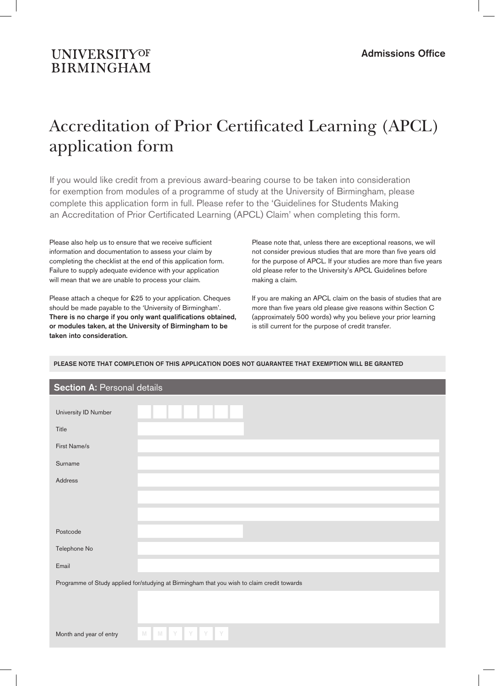# **UNIVERSITYOF BIRMINGHAM**

# Accreditation of Prior Certificated Learning (APCL) application form

If you would like credit from a previous award-bearing course to be taken into consideration for exemption from modules of a programme of study at the University of Birmingham, please complete this application form in full. Please refer to the 'Guidelines for Students Making an Accreditation of Prior Certificated Learning (APCL) Claim' when completing this form.

Please also help us to ensure that we receive sufficient information and documentation to assess your claim by completing the checklist at the end of this application form. Failure to supply adequate evidence with your application will mean that we are unable to process your claim.

Please attach a cheque for £25 to your application. Cheques should be made payable to the 'University of Birmingham'. There is no charge if you only want qualifications obtained, or modules taken, at the University of Birmingham to be taken into consideration.

Please note that, unless there are exceptional reasons, we will not consider previous studies that are more than five years old for the purpose of APCL. If your studies are more than five years old please refer to the University's APCL Guidelines before making a claim.

If you are making an APCL claim on the basis of studies that are more than five years old please give reasons within Section C (approximately 500 words) why you believe your prior learning is still current for the purpose of credit transfer.

| <b>Section A: Personal details</b> |                                                                                             |  |  |  |  |  |
|------------------------------------|---------------------------------------------------------------------------------------------|--|--|--|--|--|
| University ID Number               |                                                                                             |  |  |  |  |  |
| Title                              |                                                                                             |  |  |  |  |  |
| First Name/s                       |                                                                                             |  |  |  |  |  |
| Surname                            |                                                                                             |  |  |  |  |  |
| Address                            |                                                                                             |  |  |  |  |  |
|                                    |                                                                                             |  |  |  |  |  |
|                                    |                                                                                             |  |  |  |  |  |
| Postcode                           |                                                                                             |  |  |  |  |  |
| Telephone No                       |                                                                                             |  |  |  |  |  |
| Email                              |                                                                                             |  |  |  |  |  |
|                                    | Programme of Study applied for/studying at Birmingham that you wish to claim credit towards |  |  |  |  |  |
|                                    |                                                                                             |  |  |  |  |  |
|                                    |                                                                                             |  |  |  |  |  |
| Month and year of entry            | Y<br>N<br>Y<br>Y<br>Y<br>M                                                                  |  |  |  |  |  |

## PLEASE NOTE THAT COMPLETION OF THIS APPLICATION DOES NOT GUARANTEE THAT EXEMPTION WILL BE GRANTED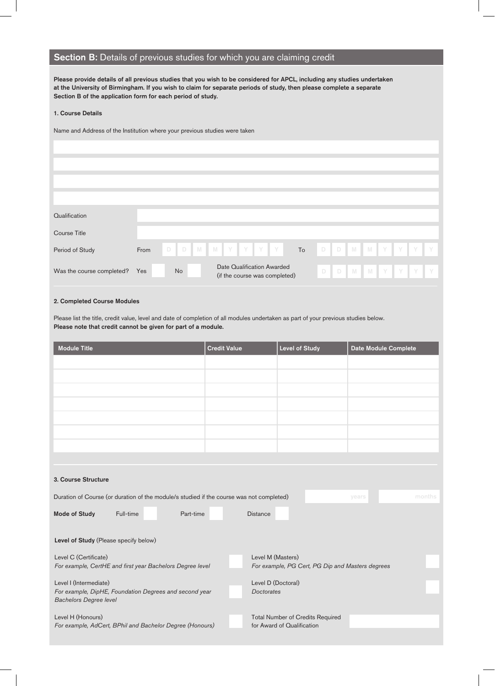## Section B: Details of previous studies for which you are claiming credit

Please provide details of all previous studies that you wish to be considered for APCL, including any studies undertaken at the University of Birmingham. If you wish to claim for separate periods of study, then please complete a separate Section B of the application form for each period of study.

### 1. Course Details

Name and Address of the Institution where your previous studies were taken

| Qualification             |      |                 |                                                             |    |   |  |  |                 |  |
|---------------------------|------|-----------------|-------------------------------------------------------------|----|---|--|--|-----------------|--|
| Course Title              |      |                 |                                                             |    |   |  |  |                 |  |
| Period of Study           | From | D D M M Y Y Y Y |                                                             | To |   |  |  | D D M M Y Y Y Y |  |
| Was the course completed? | Yes  | <b>No</b>       | Date Qualification Awarded<br>(if the course was completed) |    | D |  |  | D M M Y Y Y Y   |  |

## 2. Completed Course Modules

Please list the title, credit value, level and date of completion of all modules undertaken as part of your previous studies below. Please note that credit cannot be given for part of a module.

| <b>Module Title</b>                                                                      | <b>Credit Value</b>                     | <b>Level of Study</b>                            | Date Module Complete |  |  |  |  |  |
|------------------------------------------------------------------------------------------|-----------------------------------------|--------------------------------------------------|----------------------|--|--|--|--|--|
|                                                                                          |                                         |                                                  |                      |  |  |  |  |  |
|                                                                                          |                                         |                                                  |                      |  |  |  |  |  |
|                                                                                          |                                         |                                                  |                      |  |  |  |  |  |
|                                                                                          |                                         |                                                  |                      |  |  |  |  |  |
|                                                                                          |                                         |                                                  |                      |  |  |  |  |  |
|                                                                                          |                                         |                                                  |                      |  |  |  |  |  |
|                                                                                          |                                         |                                                  |                      |  |  |  |  |  |
|                                                                                          |                                         |                                                  |                      |  |  |  |  |  |
| 3. Course Structure                                                                      |                                         |                                                  |                      |  |  |  |  |  |
| Duration of Course (or duration of the module/s studied if the course was not completed) |                                         |                                                  | months<br>years      |  |  |  |  |  |
| <b>Mode of Study</b><br>Full-time<br>Part-time                                           | <b>Distance</b>                         |                                                  |                      |  |  |  |  |  |
| Level of Study (Please specify below)                                                    |                                         |                                                  |                      |  |  |  |  |  |
| Level C (Certificate)                                                                    |                                         | Level M (Masters)                                |                      |  |  |  |  |  |
| For example, CertHE and first year Bachelors Degree level                                |                                         | For example, PG Cert, PG Dip and Masters degrees |                      |  |  |  |  |  |
| Level I (Intermediate)<br>For example, DipHE, Foundation Degrees and second year         | Level D (Doctoral)<br><b>Doctorates</b> |                                                  |                      |  |  |  |  |  |
| <b>Bachelors Degree level</b>                                                            |                                         |                                                  |                      |  |  |  |  |  |
| Level H (Honours)                                                                        |                                         | <b>Total Number of Credits Required</b>          |                      |  |  |  |  |  |
| For example, AdCert, BPhil and Bachelor Degree (Honours)                                 |                                         | for Award of Qualification                       |                      |  |  |  |  |  |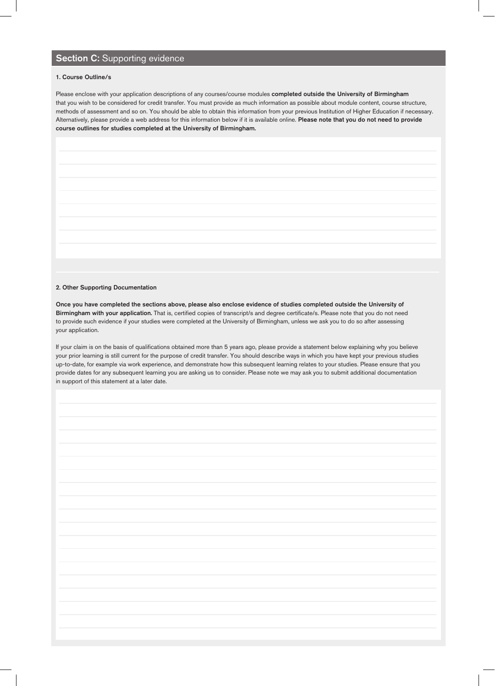## Section C: Supporting evidence

### 1. Course Outline/s

Please enclose with your application descriptions of any courses/course modules completed outside the University of Birmingham that you wish to be considered for credit transfer. You must provide as much information as possible about module content, course structure, methods of assessment and so on. You should be able to obtain this information from your previous Institution of Higher Education if necessary. Alternatively, please provide a web address for this information below if it is available online. Please note that you do not need to provide course outlines for studies completed at the University of Birmingham.

#### 2. Other Supporting Documentation

Once you have completed the sections above, please also enclose evidence of studies completed outside the University of Birmingham with your application. That is, certified copies of transcript/s and degree certificate/s. Please note that you do not need to provide such evidence if your studies were completed at the University of Birmingham, unless we ask you to do so after assessing your application.

If your claim is on the basis of qualifications obtained more than 5 years ago, please provide a statement below explaining why you believe your prior learning is still current for the purpose of credit transfer. You should describe ways in which you have kept your previous studies up-to-date, for example via work experience, and demonstrate how this subsequent learning relates to your studies. Please ensure that you provide dates for any subsequent learning you are asking us to consider. Please note we may ask you to submit additional documentation in support of this statement at a later date.